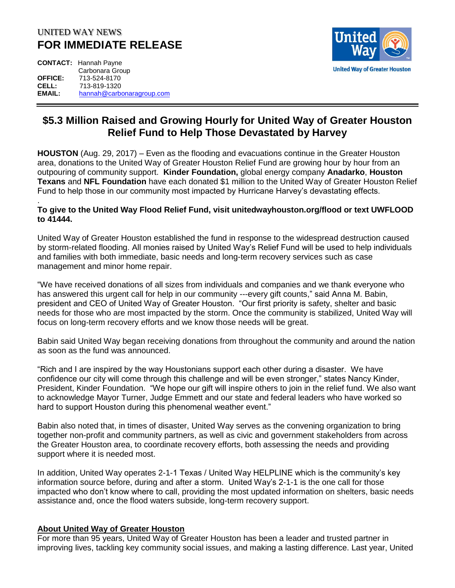## UNITED WAY NEWS **FOR IMMEDIATE RELEASE**

**CONTACT:** Hannah Payne Carbonara Group **OFFICE:** 713-524-8170 **CELL:** 713-819-1320 **EMAIL:** [hannah@carbonaragroup.com](mailto:hannah@carbonaragroup.com)



## **\$5.3 Million Raised and Growing Hourly for United Way of Greater Houston Relief Fund to Help Those Devastated by Harvey**

**HOUSTON** (Aug. 29, 2017) – Even as the flooding and evacuations continue in the Greater Houston area, donations to the United Way of Greater Houston Relief Fund are growing hour by hour from an outpouring of community support. **Kinder Foundation,** global energy company **Anadarko**, **Houston Texans** and **NFL Foundation** have each donated \$1 million to the United Way of Greater Houston Relief Fund to help those in our community most impacted by Hurricane Harvey's devastating effects.

## . **To give to the United Way Flood Relief Fund, visit unitedwayhouston.org/flood or text UWFLOOD to 41444.**

United Way of Greater Houston established the fund in response to the widespread destruction caused by storm-related flooding. All monies raised by United Way's Relief Fund will be used to help individuals and families with both immediate, basic needs and long-term recovery services such as case management and minor home repair.

"We have received donations of all sizes from individuals and companies and we thank everyone who has answered this urgent call for help in our community ---every gift counts," said Anna M. Babin, president and CEO of United Way of Greater Houston. "Our first priority is safety, shelter and basic needs for those who are most impacted by the storm. Once the community is stabilized, United Way will focus on long-term recovery efforts and we know those needs will be great.

Babin said United Way began receiving donations from throughout the community and around the nation as soon as the fund was announced.

"Rich and I are inspired by the way Houstonians support each other during a disaster. We have confidence our city will come through this challenge and will be even stronger," states Nancy Kinder, President, Kinder Foundation. "We hope our gift will inspire others to join in the relief fund. We also want to acknowledge Mayor Turner, Judge Emmett and our state and federal leaders who have worked so hard to support Houston during this phenomenal weather event."

Babin also noted that, in times of disaster, United Way serves as the convening organization to bring together non-profit and community partners, as well as civic and government stakeholders from across the Greater Houston area, to coordinate recovery efforts, both assessing the needs and providing support where it is needed most.

In addition, United Way operates 2-1-1 Texas / United Way HELPLINE which is the community's key information source before, during and after a storm. United Way's 2-1-1 is the one call for those impacted who don't know where to call, providing the most updated information on shelters, basic needs assistance and, once the flood waters subside, long-term recovery support.

## **About United Way of Greater Houston**

For more than 95 years, United Way of Greater Houston has been a leader and trusted partner in improving lives, tackling key community social issues, and making a lasting difference. Last year, United